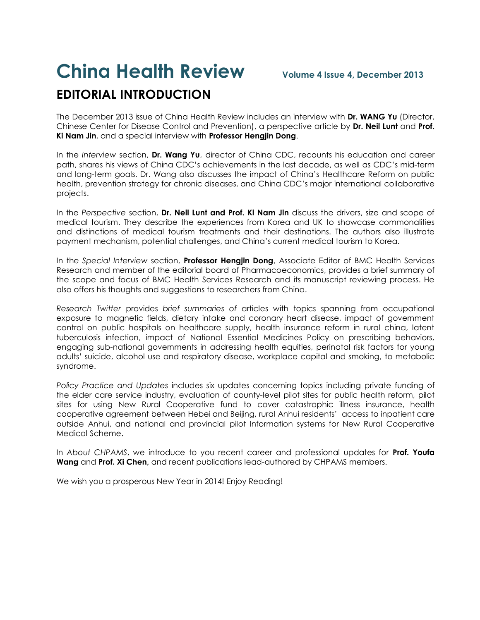## **China Health Review Volume 4 Issue 4, December <sup>2013</sup> EDITORIAL INTRODUCTION**

The December 2013 issue of China Health Review includes an interview with **Dr. WANG Yu** (Director, Chinese Center for Disease Control and Prevention), a perspective article by **Dr. Neil Lunt** and **Prof. Ki Nam Jin**, and a special interview with **Professor Hengjin Dong**.

In the *Interview* section, **Dr. Wang Yu**, director of China CDC, recounts his education and career path, shares his views of China CDC's achievements in the last decade, as well as CDC's mid-term and long-term goals. Dr. Wang also discusses the impact of China's Healthcare Reform on public health, prevention strategy for chronic diseases, and China CDC's major international collaborative projects.

In the *Perspective* section, **Dr. Neil Lunt and Prof. Ki Nam Jin** discuss the drivers, size and scope of medical tourism. They describe the experiences from Korea and UK to showcase commonalities and distinctions of medical tourism treatments and their destinations. The authors also illustrate payment mechanism, potential challenges, and China's current medical tourism to Korea.

In the *Special Interview* section, **Professor Hengjin Dong**, Associate Editor of BMC Health Services Research and member of the editorial board of Pharmacoeconomics, provides a brief summary of the scope and focus of BMC Health Services Research and its manuscript reviewing process. He also offers his thoughts and suggestions to researchers from China.

*Research Twitter* provides *brief summaries of* articles with topics spanning from occupational exposure to magnetic fields, dietary intake and coronary heart disease, impact of government control on public hospitals on healthcare supply, health insurance reform in rural china, latent tuberculosis infection, impact of National Essential Medicines Policy on prescribing behaviors, engaging sub-national governments in addressing health equities, perinatal risk factors for young adults' suicide, alcohol use and respiratory disease, workplace capital and smoking, to metabolic syndrome.

*Policy Practice and Updates* includes six updates concerning topics including private funding of the elder care service industry, evaluation of county-level pilot sites for public health reform, pilot sites for using New Rural Cooperative fund to cover catastrophic illness insurance, health cooperative agreement between Hebei and Beijing, rural Anhui residents' access to inpatient care outside Anhui, and national and provincial pilot Information systems for New Rural Cooperative Medical Scheme.

In *About CHPAMS*, we introduce to you recent career and professional updates for **Prof. Youfa Wang** and **Prof. Xi Chen,** and recent publications lead-authored by CHPAMS members.

We wish you a prosperous New Year in 2014! Enjoy Reading!